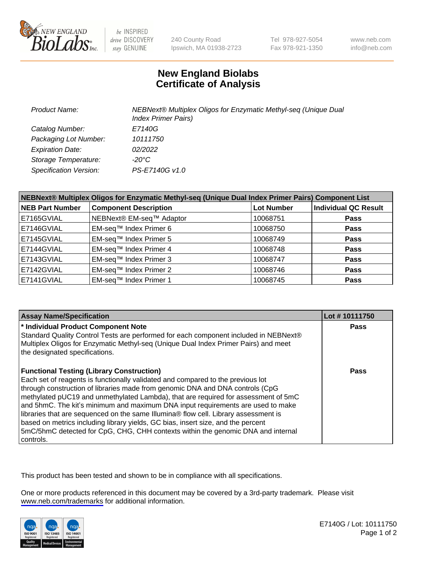

be INSPIRED drive DISCOVERY stay GENUINE

240 County Road Ipswich, MA 01938-2723 Tel 978-927-5054 Fax 978-921-1350

www.neb.com info@neb.com

## **New England Biolabs Certificate of Analysis**

| Product Name:           | NEBNext® Multiplex Oligos for Enzymatic Methyl-seq (Unique Dual<br><b>Index Primer Pairs)</b> |
|-------------------------|-----------------------------------------------------------------------------------------------|
| Catalog Number:         | E7140G                                                                                        |
| Packaging Lot Number:   | 10111750                                                                                      |
| <b>Expiration Date:</b> | 02/2022                                                                                       |
| Storage Temperature:    | -20°C                                                                                         |
| Specification Version:  | PS-E7140G v1.0                                                                                |

| NEBNext® Multiplex Oligos for Enzymatic Methyl-seq (Unique Dual Index Primer Pairs) Component List |                              |                   |                             |  |
|----------------------------------------------------------------------------------------------------|------------------------------|-------------------|-----------------------------|--|
| <b>NEB Part Number</b>                                                                             | <b>Component Description</b> | <b>Lot Number</b> | <b>Individual QC Result</b> |  |
| E7165GVIAL                                                                                         | NEBNext® EM-seq™ Adaptor     | 10068751          | <b>Pass</b>                 |  |
| E7146GVIAL                                                                                         | EM-seq™ Index Primer 6       | 10068750          | <b>Pass</b>                 |  |
| E7145GVIAL                                                                                         | EM-seq™ Index Primer 5       | 10068749          | <b>Pass</b>                 |  |
| E7144GVIAL                                                                                         | EM-seq™ Index Primer 4       | 10068748          | <b>Pass</b>                 |  |
| E7143GVIAL                                                                                         | EM-seq™ Index Primer 3       | 10068747          | <b>Pass</b>                 |  |
| E7142GVIAL                                                                                         | EM-seq™ Index Primer 2       | 10068746          | <b>Pass</b>                 |  |
| E7141GVIAL                                                                                         | EM-seq™ Index Primer 1       | 10068745          | <b>Pass</b>                 |  |

| <b>Assay Name/Specification</b>                                                                                                                                        | Lot #10111750 |
|------------------------------------------------------------------------------------------------------------------------------------------------------------------------|---------------|
| * Individual Product Component Note                                                                                                                                    | <b>Pass</b>   |
| Standard Quality Control Tests are performed for each component included in NEBNext®                                                                                   |               |
| Multiplex Oligos for Enzymatic Methyl-seq (Unique Dual Index Primer Pairs) and meet<br>the designated specifications.                                                  |               |
| <b>Functional Testing (Library Construction)</b>                                                                                                                       | Pass          |
| Each set of reagents is functionally validated and compared to the previous lot                                                                                        |               |
| through construction of libraries made from genomic DNA and DNA controls (CpG                                                                                          |               |
| methylated pUC19 and unmethylated Lambda), that are required for assessment of 5mC                                                                                     |               |
| and 5hmC. The kit's minimum and maximum DNA input requirements are used to make<br>libraries that are sequenced on the same Illumina® flow cell. Library assessment is |               |
| based on metrics including library yields, GC bias, insert size, and the percent                                                                                       |               |
| 5mC/5hmC detected for CpG, CHG, CHH contexts within the genomic DNA and internal                                                                                       |               |
| controls.                                                                                                                                                              |               |

This product has been tested and shown to be in compliance with all specifications.

One or more products referenced in this document may be covered by a 3rd-party trademark. Please visit <www.neb.com/trademarks>for additional information.